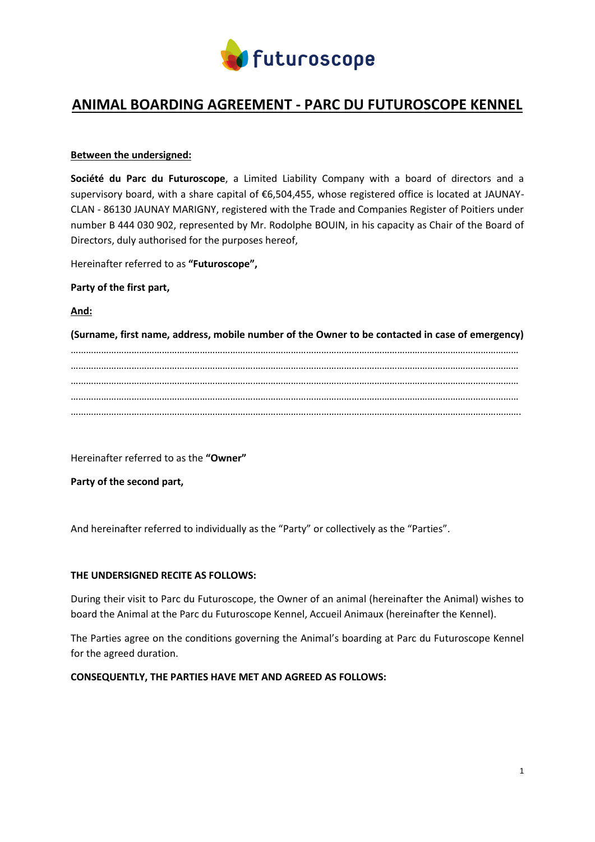

# **ANIMAL BOARDING AGREEMENT - PARC DU FUTUROSCOPE KENNEL**

# **Between the undersigned:**

**Société du Parc du Futuroscope**, a Limited Liability Company with a board of directors and a supervisory board, with a share capital of €6,504,455, whose registered office is located at JAUNAY-CLAN - 86130 JAUNAY MARIGNY, registered with the Trade and Companies Register of Poitiers under number B 444 030 902, represented by Mr. Rodolphe BOUIN, in his capacity as Chair of the Board of Directors, duly authorised for the purposes hereof,

Hereinafter referred to as **"Futuroscope",**

# **Party of the first part,**

**And:**

**(Surname, first name, address, mobile number of the Owner to be contacted in case of emergency)**  …………………………………………………………………………………………………………………………………………………………… …………………………………………………………………………………………………………………………………………………………… …………………………………………………………………………………………………………………………………………………………… …………………………………………………………………………………………………………………………………………………………… …………………………………………………………………………………………………………………………………………………………….

Hereinafter referred to as the **"Owner"**

**Party of the second part,** 

And hereinafter referred to individually as the "Party" or collectively as the "Parties".

# **THE UNDERSIGNED RECITE AS FOLLOWS:**

During their visit to Parc du Futuroscope, the Owner of an animal (hereinafter the Animal) wishes to board the Animal at the Parc du Futuroscope Kennel, Accueil Animaux (hereinafter the Kennel).

The Parties agree on the conditions governing the Animal's boarding at Parc du Futuroscope Kennel for the agreed duration.

### **CONSEQUENTLY, THE PARTIES HAVE MET AND AGREED AS FOLLOWS:**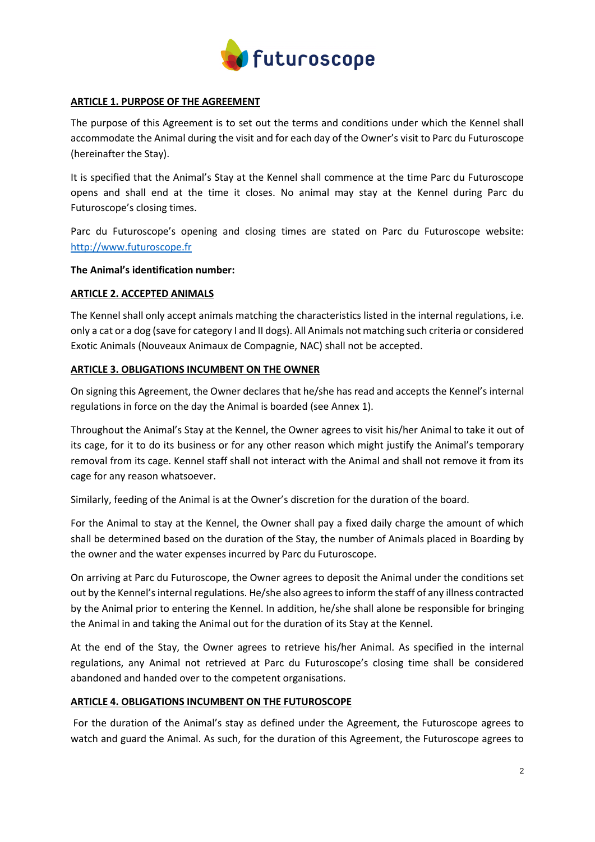

# **ARTICLE 1. PURPOSE OF THE AGREEMENT**

The purpose of this Agreement is to set out the terms and conditions under which the Kennel shall accommodate the Animal during the visit and for each day of the Owner's visit to Parc du Futuroscope (hereinafter the Stay).

It is specified that the Animal's Stay at the Kennel shall commence at the time Parc du Futuroscope opens and shall end at the time it closes. No animal may stay at the Kennel during Parc du Futuroscope's closing times.

Parc du Futuroscope's opening and closing times are stated on Parc du Futuroscope website: [http://www.futuroscope.fr](http://www.futuroscope.fr/)

#### **The Animal's identification number:**

#### **ARTICLE 2. ACCEPTED ANIMALS**

The Kennel shall only accept animals matching the characteristics listed in the internal regulations, i.e. only a cat or a dog (save for category I and II dogs). All Animals not matching such criteria or considered Exotic Animals (Nouveaux Animaux de Compagnie, NAC) shall not be accepted.

#### **ARTICLE 3. OBLIGATIONS INCUMBENT ON THE OWNER**

On signing this Agreement, the Owner declares that he/she has read and accepts the Kennel's internal regulations in force on the day the Animal is boarded (see Annex 1).

Throughout the Animal's Stay at the Kennel, the Owner agrees to visit his/her Animal to take it out of its cage, for it to do its business or for any other reason which might justify the Animal's temporary removal from its cage. Kennel staff shall not interact with the Animal and shall not remove it from its cage for any reason whatsoever.

Similarly, feeding of the Animal is at the Owner's discretion for the duration of the board.

For the Animal to stay at the Kennel, the Owner shall pay a fixed daily charge the amount of which shall be determined based on the duration of the Stay, the number of Animals placed in Boarding by the owner and the water expenses incurred by Parc du Futuroscope.

On arriving at Parc du Futuroscope, the Owner agrees to deposit the Animal under the conditions set out by the Kennel's internal regulations. He/she also agrees to inform the staff of any illness contracted by the Animal prior to entering the Kennel. In addition, he/she shall alone be responsible for bringing the Animal in and taking the Animal out for the duration of its Stay at the Kennel.

At the end of the Stay, the Owner agrees to retrieve his/her Animal. As specified in the internal regulations, any Animal not retrieved at Parc du Futuroscope's closing time shall be considered abandoned and handed over to the competent organisations.

### **ARTICLE 4. OBLIGATIONS INCUMBENT ON THE FUTUROSCOPE**

For the duration of the Animal's stay as defined under the Agreement, the Futuroscope agrees to watch and guard the Animal. As such, for the duration of this Agreement, the Futuroscope agrees to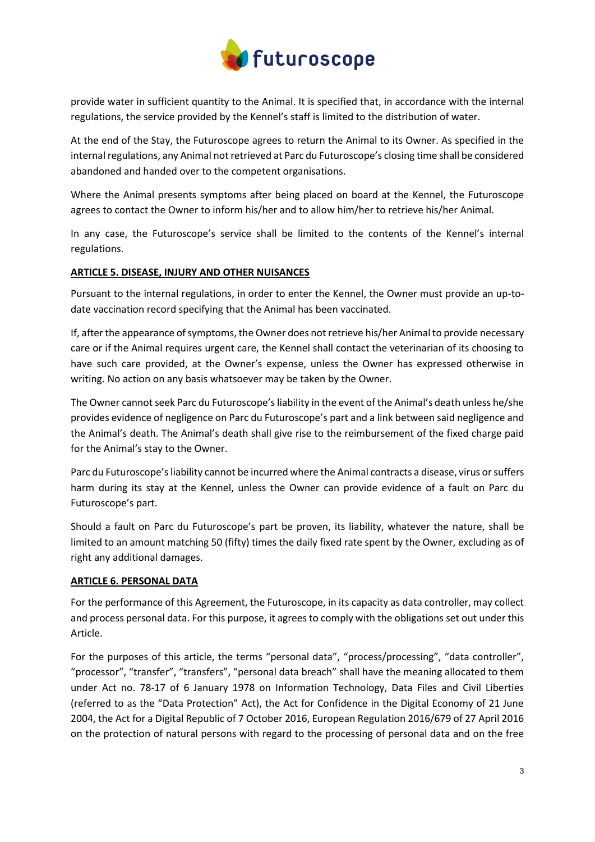

provide water in sufficient quantity to the Animal. It is specified that, in accordance with the internal regulations, the service provided by the Kennel's staff is limited to the distribution of water.

At the end of the Stay, the Futuroscope agrees to return the Animal to its Owner. As specified in the internal regulations, any Animal not retrieved at Parc du Futuroscope's closing time shall be considered abandoned and handed over to the competent organisations.

Where the Animal presents symptoms after being placed on board at the Kennel, the Futuroscope agrees to contact the Owner to inform his/her and to allow him/her to retrieve his/her Animal.

In any case, the Futuroscope's service shall be limited to the contents of the Kennel's internal regulations.

# **ARTICLE 5. DISEASE, INJURY AND OTHER NUISANCES**

Pursuant to the internal regulations, in order to enter the Kennel, the Owner must provide an up-todate vaccination record specifying that the Animal has been vaccinated.

If, after the appearance of symptoms, the Owner does not retrieve his/her Animal to provide necessary care or if the Animal requires urgent care, the Kennel shall contact the veterinarian of its choosing to have such care provided, at the Owner's expense, unless the Owner has expressed otherwise in writing. No action on any basis whatsoever may be taken by the Owner.

The Owner cannot seek Parc du Futuroscope's liability in the event of the Animal's death unless he/she provides evidence of negligence on Parc du Futuroscope's part and a link between said negligence and the Animal's death. The Animal's death shall give rise to the reimbursement of the fixed charge paid for the Animal's stay to the Owner.

Parc du Futuroscope's liability cannot be incurred where the Animal contracts a disease, virus or suffers harm during its stay at the Kennel, unless the Owner can provide evidence of a fault on Parc du Futuroscope's part.

Should a fault on Parc du Futuroscope's part be proven, its liability, whatever the nature, shall be limited to an amount matching 50 (fifty) times the daily fixed rate spent by the Owner, excluding as of right any additional damages.

### **ARTICLE 6. PERSONAL DATA**

For the performance of this Agreement, the Futuroscope, in its capacity as data controller, may collect and process personal data. For this purpose, it agrees to comply with the obligations set out under this Article.

For the purposes of this article, the terms "personal data", "process/processing", "data controller", "processor", "transfer", "transfers", "personal data breach" shall have the meaning allocated to them under Act no. 78-17 of 6 January 1978 on Information Technology, Data Files and Civil Liberties (referred to as the "Data Protection" Act), the Act for Confidence in the Digital Economy of 21 June 2004, the Act for a Digital Republic of 7 October 2016, European Regulation 2016/679 of 27 April 2016 on the protection of natural persons with regard to the processing of personal data and on the free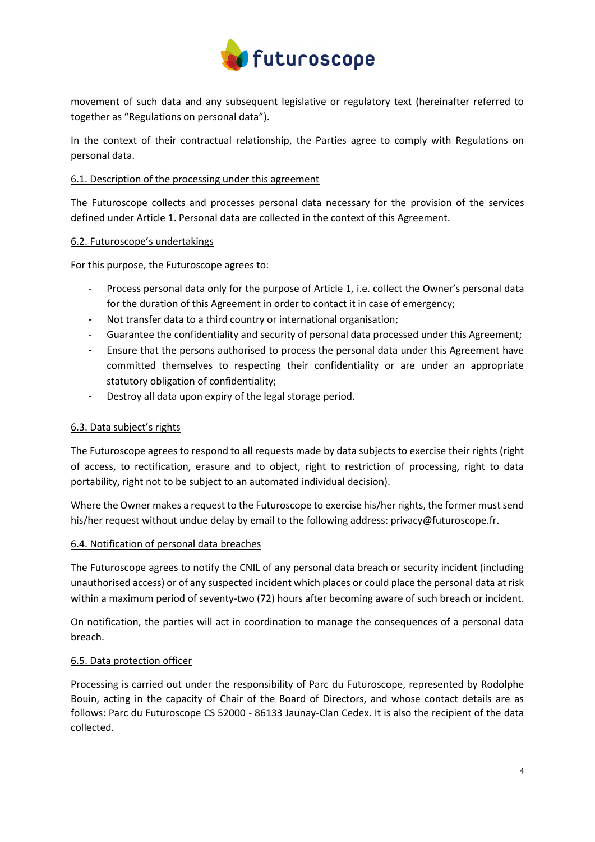

movement of such data and any subsequent legislative or regulatory text (hereinafter referred to together as "Regulations on personal data").

In the context of their contractual relationship, the Parties agree to comply with Regulations on personal data.

# 6.1. Description of the processing under this agreement

The Futuroscope collects and processes personal data necessary for the provision of the services defined under Article 1. Personal data are collected in the context of this Agreement.

### 6.2. Futuroscope's undertakings

For this purpose, the Futuroscope agrees to:

- Process personal data only for the purpose of Article 1, i.e. collect the Owner's personal data for the duration of this Agreement in order to contact it in case of emergency;
- Not transfer data to a third country or international organisation;
- Guarantee the confidentiality and security of personal data processed under this Agreement;
- Ensure that the persons authorised to process the personal data under this Agreement have committed themselves to respecting their confidentiality or are under an appropriate statutory obligation of confidentiality;
- Destroy all data upon expiry of the legal storage period.

# 6.3. Data subject's rights

The Futuroscope agrees to respond to all requests made by data subjects to exercise their rights (right of access, to rectification, erasure and to object, right to restriction of processing, right to data portability, right not to be subject to an automated individual decision).

Where the Owner makes a request to the Futuroscope to exercise his/her rights, the former must send his/her request without undue delay by email to the following address: privacy@futuroscope.fr.

### 6.4. Notification of personal data breaches

The Futuroscope agrees to notify the CNIL of any personal data breach or security incident (including unauthorised access) or of any suspected incident which places or could place the personal data at risk within a maximum period of seventy-two (72) hours after becoming aware of such breach or incident.

On notification, the parties will act in coordination to manage the consequences of a personal data breach.

# 6.5. Data protection officer

Processing is carried out under the responsibility of Parc du Futuroscope, represented by Rodolphe Bouin, acting in the capacity of Chair of the Board of Directors, and whose contact details are as follows: Parc du Futuroscope CS 52000 - 86133 Jaunay-Clan Cedex. It is also the recipient of the data collected.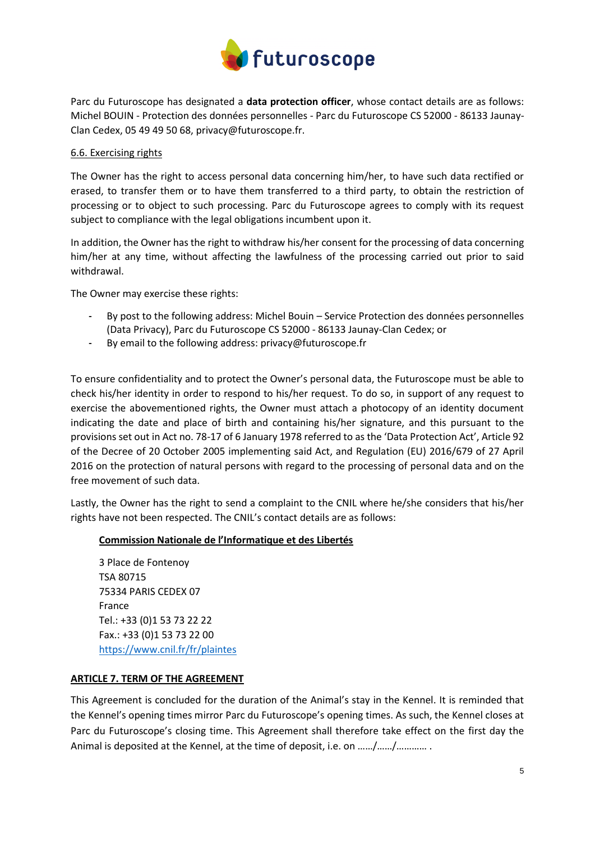

Parc du Futuroscope has designated a **data protection officer**, whose contact details are as follows: Michel BOUIN - Protection des données personnelles - Parc du Futuroscope CS 52000 - 86133 Jaunay-Clan Cedex, 05 49 49 50 68, privacy@futuroscope.fr.

### 6.6. Exercising rights

The Owner has the right to access personal data concerning him/her, to have such data rectified or erased, to transfer them or to have them transferred to a third party, to obtain the restriction of processing or to object to such processing. Parc du Futuroscope agrees to comply with its request subject to compliance with the legal obligations incumbent upon it.

In addition, the Owner has the right to withdraw his/her consent for the processing of data concerning him/her at any time, without affecting the lawfulness of the processing carried out prior to said withdrawal.

The Owner may exercise these rights:

- By post to the following address: Michel Bouin Service Protection des données personnelles (Data Privacy), Parc du Futuroscope CS 52000 - 86133 Jaunay-Clan Cedex; or
- By email to the following address: privacy@futuroscope.fr

To ensure confidentiality and to protect the Owner's personal data, the Futuroscope must be able to check his/her identity in order to respond to his/her request. To do so, in support of any request to exercise the abovementioned rights, the Owner must attach a photocopy of an identity document indicating the date and place of birth and containing his/her signature, and this pursuant to the provisions set out in Act no. 78-17 of 6 January 1978 referred to as the 'Data Protection Act', Article 92 of the Decree of 20 October 2005 implementing said Act, and Regulation (EU) 2016/679 of 27 April 2016 on the protection of natural persons with regard to the processing of personal data and on the free movement of such data.

Lastly, the Owner has the right to send a complaint to the CNIL where he/she considers that his/her rights have not been respected. The CNIL's contact details are as follows:

# **Commission Nationale de l'Informatique et des Libertés**

3 Place de Fontenoy TSA 80715 75334 PARIS CEDEX 07 France Tel.: +33 (0)1 53 73 22 22 Fax.: +33 (0)1 53 73 22 00 <https://www.cnil.fr/fr/plaintes>

### **ARTICLE 7. TERM OF THE AGREEMENT**

This Agreement is concluded for the duration of the Animal's stay in the Kennel. It is reminded that the Kennel's opening times mirror Parc du Futuroscope's opening times. As such, the Kennel closes at Parc du Futuroscope's closing time. This Agreement shall therefore take effect on the first day the Animal is deposited at the Kennel, at the time of deposit, i.e. on ……/……/………… .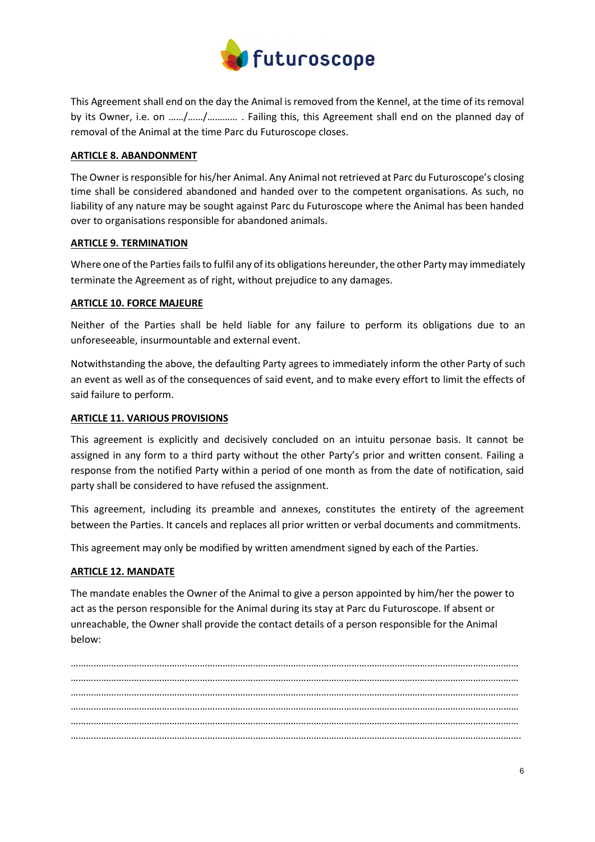

This Agreement shall end on the day the Animal is removed from the Kennel, at the time of its removal by its Owner, i.e. on ……/……/………… . Failing this, this Agreement shall end on the planned day of removal of the Animal at the time Parc du Futuroscope closes.

# **ARTICLE 8. ABANDONMENT**

The Owner is responsible for his/her Animal. Any Animal not retrieved at Parc du Futuroscope's closing time shall be considered abandoned and handed over to the competent organisations. As such, no liability of any nature may be sought against Parc du Futuroscope where the Animal has been handed over to organisations responsible for abandoned animals.

# **ARTICLE 9. TERMINATION**

Where one of the Parties fails to fulfil any of its obligations hereunder, the other Party may immediately terminate the Agreement as of right, without prejudice to any damages.

# **ARTICLE 10. FORCE MAJEURE**

Neither of the Parties shall be held liable for any failure to perform its obligations due to an unforeseeable, insurmountable and external event.

Notwithstanding the above, the defaulting Party agrees to immediately inform the other Party of such an event as well as of the consequences of said event, and to make every effort to limit the effects of said failure to perform.

# **ARTICLE 11. VARIOUS PROVISIONS**

This agreement is explicitly and decisively concluded on an intuitu personae basis. It cannot be assigned in any form to a third party without the other Party's prior and written consent. Failing a response from the notified Party within a period of one month as from the date of notification, said party shall be considered to have refused the assignment.

This agreement, including its preamble and annexes, constitutes the entirety of the agreement between the Parties. It cancels and replaces all prior written or verbal documents and commitments.

This agreement may only be modified by written amendment signed by each of the Parties.

### **ARTICLE 12. MANDATE**

The mandate enables the Owner of the Animal to give a person appointed by him/her the power to act as the person responsible for the Animal during its stay at Parc du Futuroscope. If absent or unreachable, the Owner shall provide the contact details of a person responsible for the Animal below:

…………………………………………………………………………………………………………………………………………………………… …………………………………………………………………………………………………………………………………………………………… …………………………………………………………………………………………………………………………………………………………… …………………………………………………………………………………………………………………………………………………………… …………………………………………………………………………………………………………………………………………………………… …………………………………………………………………………………………………………………………………………………………….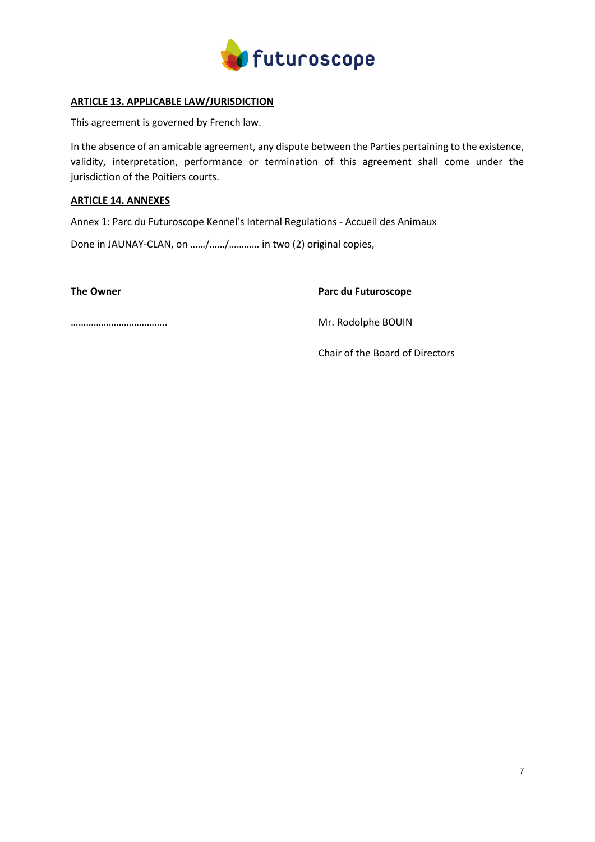

# **ARTICLE 13. APPLICABLE LAW/JURISDICTION**

This agreement is governed by French law.

In the absence of an amicable agreement, any dispute between the Parties pertaining to the existence, validity, interpretation, performance or termination of this agreement shall come under the jurisdiction of the Poitiers courts.

# **ARTICLE 14. ANNEXES**

Annex 1: Parc du Futuroscope Kennel's Internal Regulations - Accueil des Animaux

Done in JAUNAY-CLAN, on ……/……/………… in two (2) original copies,

**The Owner Parc du Futuroscope**

……………………………….. Mr. Rodolphe BOUIN

Chair of the Board of Directors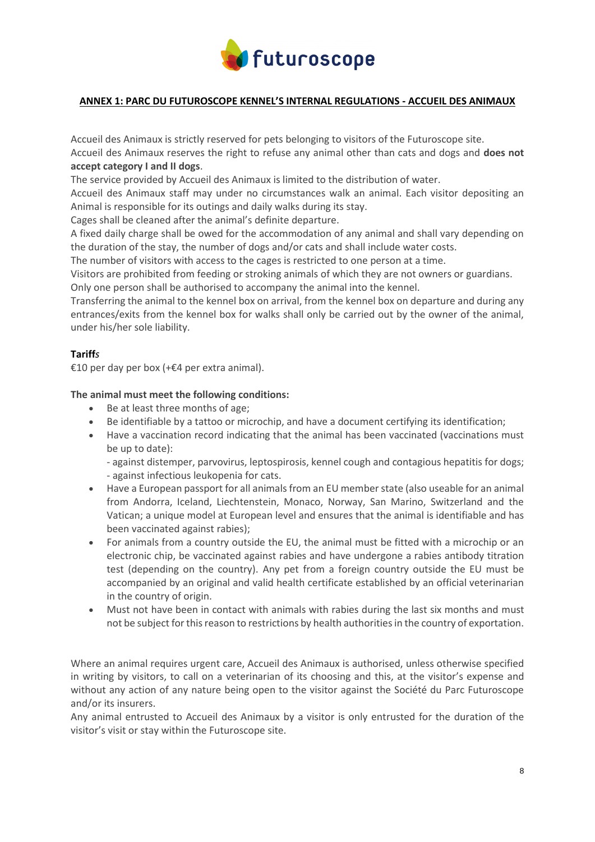

# **ANNEX 1: PARC DU FUTUROSCOPE KENNEL'S INTERNAL REGULATIONS - ACCUEIL DES ANIMAUX**

Accueil des Animaux is strictly reserved for pets belonging to visitors of the Futuroscope site.

Accueil des Animaux reserves the right to refuse any animal other than cats and dogs and **does not accept category I and II dogs**.

The service provided by Accueil des Animaux is limited to the distribution of water.

Accueil des Animaux staff may under no circumstances walk an animal. Each visitor depositing an Animal is responsible for its outings and daily walks during its stay.

Cages shall be cleaned after the animal's definite departure.

A fixed daily charge shall be owed for the accommodation of any animal and shall vary depending on the duration of the stay, the number of dogs and/or cats and shall include water costs.

The number of visitors with access to the cages is restricted to one person at a time.

Visitors are prohibited from feeding or stroking animals of which they are not owners or guardians.

Only one person shall be authorised to accompany the animal into the kennel.

Transferring the animal to the kennel box on arrival, from the kennel box on departure and during any entrances/exits from the kennel box for walks shall only be carried out by the owner of the animal, under his/her sole liability.

# **Tariff***s*

€10 per day per box (+€4 per extra animal).

# **The animal must meet the following conditions:**

- Be at least three months of age;
- Be identifiable by a tattoo or microchip, and have a document certifying its identification;
- Have a vaccination record indicating that the animal has been vaccinated (vaccinations must be up to date):

- against distemper, parvovirus, leptospirosis, kennel cough and contagious hepatitis for dogs; - against infectious leukopenia for cats.

- Have a European passport for all animals from an EU member state (also useable for an animal from Andorra, Iceland, Liechtenstein, Monaco, Norway, San Marino, Switzerland and the Vatican; a unique model at European level and ensures that the animal is identifiable and has been vaccinated against rabies);
- For animals from a country outside the EU, the animal must be fitted with a microchip or an electronic chip, be vaccinated against rabies and have undergone a rabies antibody titration test (depending on the country). Any pet from a foreign country outside the EU must be accompanied by an original and valid health certificate established by an official veterinarian in the country of origin.
- Must not have been in contact with animals with rabies during the last six months and must not be subject for this reason to restrictions by health authorities in the country of exportation.

Where an animal requires urgent care, Accueil des Animaux is authorised, unless otherwise specified in writing by visitors, to call on a veterinarian of its choosing and this, at the visitor's expense and without any action of any nature being open to the visitor against the Société du Parc Futuroscope and/or its insurers.

Any animal entrusted to Accueil des Animaux by a visitor is only entrusted for the duration of the visitor's visit or stay within the Futuroscope site.